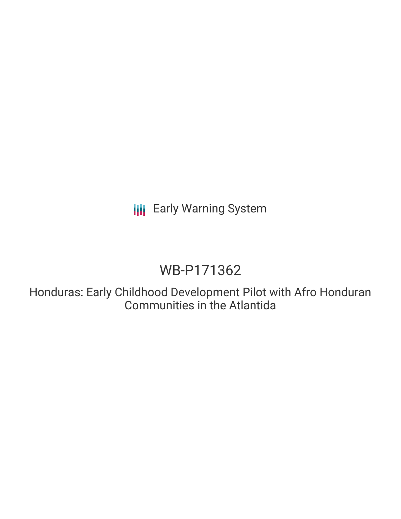**III** Early Warning System

# WB-P171362

Honduras: Early Childhood Development Pilot with Afro Honduran Communities in the Atlantida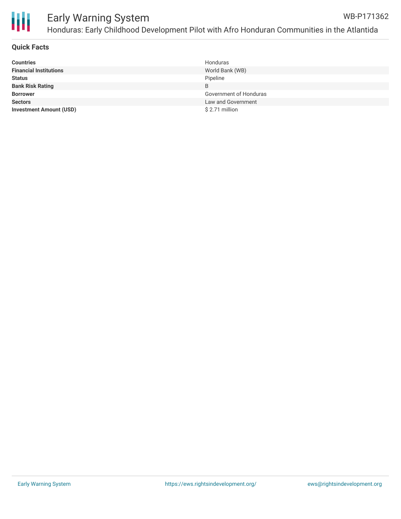

#### Early Warning System Honduras: Early Childhood Development Pilot with Afro Honduran Communities in the Atlantida WB-P171362

# **Quick Facts**

| <b>Countries</b>               | Honduras               |
|--------------------------------|------------------------|
| <b>Financial Institutions</b>  | World Bank (WB)        |
| <b>Status</b>                  | Pipeline               |
| <b>Bank Risk Rating</b>        | B                      |
| <b>Borrower</b>                | Government of Honduras |
| <b>Sectors</b>                 | Law and Government     |
| <b>Investment Amount (USD)</b> | $$2.71$ million        |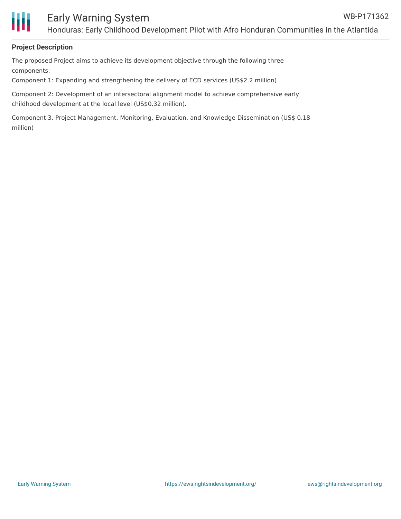

# **Project Description**

The proposed Project aims to achieve its development objective through the following three components:

Component 1: Expanding and strengthening the delivery of ECD services (US\$2.2 million)

Component 2: Development of an intersectoral alignment model to achieve comprehensive early childhood development at the local level (US\$0.32 million).

Component 3. Project Management, Monitoring, Evaluation, and Knowledge Dissemination (US\$ 0.18 million)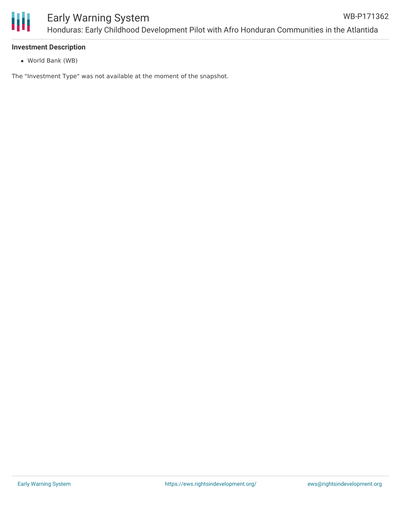

# **Investment Description**

World Bank (WB)

The "Investment Type" was not available at the moment of the snapshot.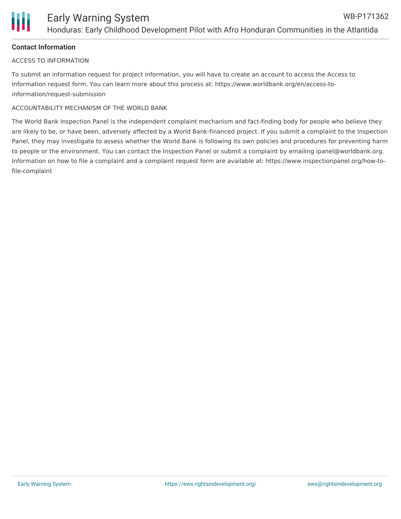# **Contact Information**

## ACCESS TO INFORMATION

To submit an information request for project information, you will have to create an account to access the Access to Information request form. You can learn more about this process at: https://www.worldbank.org/en/access-toinformation/request-submission

# ACCOUNTABILITY MECHANISM OF THE WORLD BANK

The World Bank Inspection Panel is the independent complaint mechanism and fact-finding body for people who believe they are likely to be, or have been, adversely affected by a World Bank-financed project. If you submit a complaint to the Inspection Panel, they may investigate to assess whether the World Bank is following its own policies and procedures for preventing harm to people or the environment. You can contact the Inspection Panel or submit a complaint by emailing ipanel@worldbank.org. Information on how to file a complaint and a complaint request form are available at: https://www.inspectionpanel.org/how-tofile-complaint